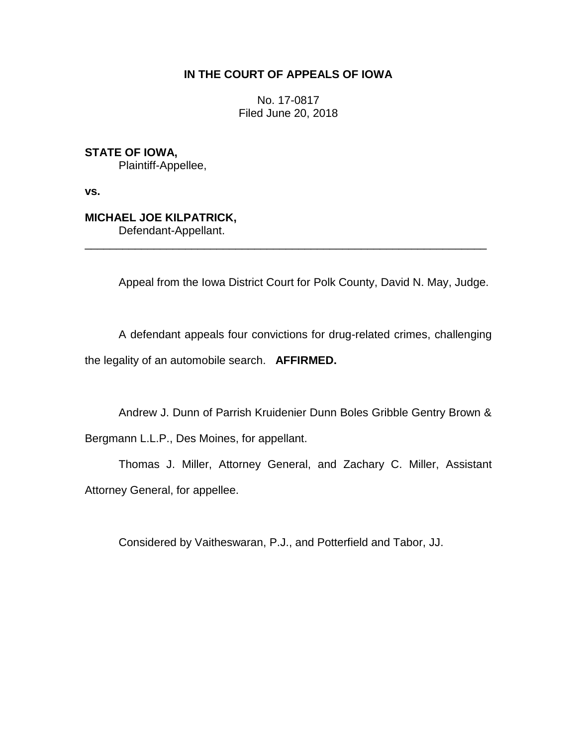# **IN THE COURT OF APPEALS OF IOWA**

No. 17-0817 Filed June 20, 2018

**STATE OF IOWA,** Plaintiff-Appellee,

**vs.**

# **MICHAEL JOE KILPATRICK,**

Defendant-Appellant.

Appeal from the Iowa District Court for Polk County, David N. May, Judge.

A defendant appeals four convictions for drug-related crimes, challenging the legality of an automobile search. **AFFIRMED.**

\_\_\_\_\_\_\_\_\_\_\_\_\_\_\_\_\_\_\_\_\_\_\_\_\_\_\_\_\_\_\_\_\_\_\_\_\_\_\_\_\_\_\_\_\_\_\_\_\_\_\_\_\_\_\_\_\_\_\_\_\_\_\_\_

Andrew J. Dunn of Parrish Kruidenier Dunn Boles Gribble Gentry Brown & Bergmann L.L.P., Des Moines, for appellant.

Thomas J. Miller, Attorney General, and Zachary C. Miller, Assistant Attorney General, for appellee.

Considered by Vaitheswaran, P.J., and Potterfield and Tabor, JJ.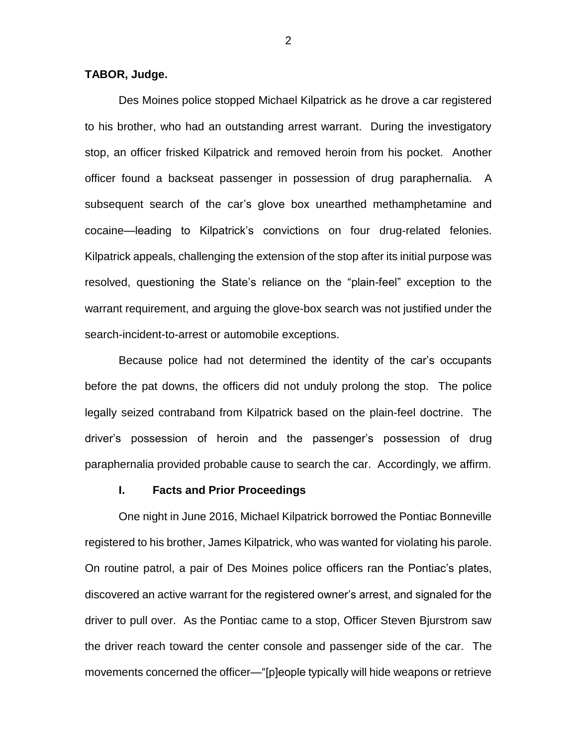### **TABOR, Judge.**

Des Moines police stopped Michael Kilpatrick as he drove a car registered to his brother, who had an outstanding arrest warrant. During the investigatory stop, an officer frisked Kilpatrick and removed heroin from his pocket. Another officer found a backseat passenger in possession of drug paraphernalia. A subsequent search of the car's glove box unearthed methamphetamine and cocaine—leading to Kilpatrick's convictions on four drug-related felonies. Kilpatrick appeals, challenging the extension of the stop after its initial purpose was resolved, questioning the State's reliance on the "plain-feel" exception to the warrant requirement, and arguing the glove-box search was not justified under the search-incident-to-arrest or automobile exceptions.

Because police had not determined the identity of the car's occupants before the pat downs, the officers did not unduly prolong the stop. The police legally seized contraband from Kilpatrick based on the plain-feel doctrine. The driver's possession of heroin and the passenger's possession of drug paraphernalia provided probable cause to search the car. Accordingly, we affirm.

#### **I. Facts and Prior Proceedings**

One night in June 2016, Michael Kilpatrick borrowed the Pontiac Bonneville registered to his brother, James Kilpatrick, who was wanted for violating his parole. On routine patrol, a pair of Des Moines police officers ran the Pontiac's plates, discovered an active warrant for the registered owner's arrest, and signaled for the driver to pull over. As the Pontiac came to a stop, Officer Steven Bjurstrom saw the driver reach toward the center console and passenger side of the car. The movements concerned the officer—"[p]eople typically will hide weapons or retrieve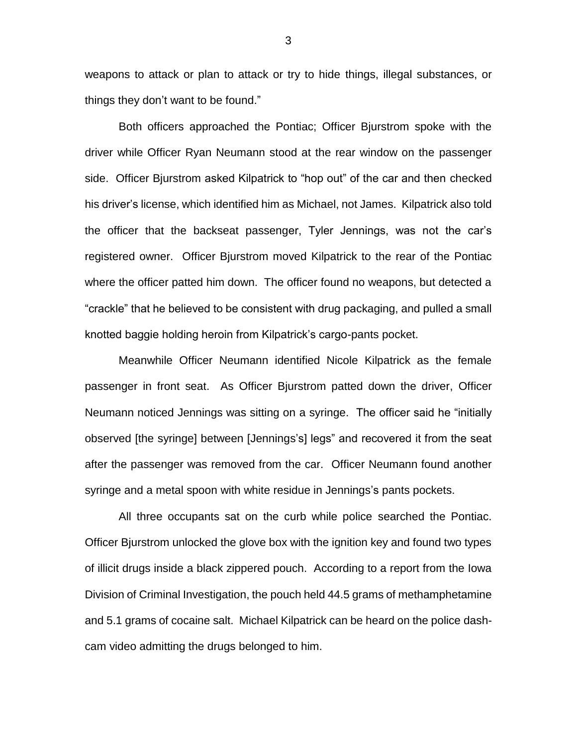weapons to attack or plan to attack or try to hide things, illegal substances, or things they don't want to be found."

Both officers approached the Pontiac; Officer Bjurstrom spoke with the driver while Officer Ryan Neumann stood at the rear window on the passenger side. Officer Bjurstrom asked Kilpatrick to "hop out" of the car and then checked his driver's license, which identified him as Michael, not James. Kilpatrick also told the officer that the backseat passenger, Tyler Jennings, was not the car's registered owner. Officer Bjurstrom moved Kilpatrick to the rear of the Pontiac where the officer patted him down. The officer found no weapons, but detected a "crackle" that he believed to be consistent with drug packaging, and pulled a small knotted baggie holding heroin from Kilpatrick's cargo-pants pocket.

Meanwhile Officer Neumann identified Nicole Kilpatrick as the female passenger in front seat. As Officer Bjurstrom patted down the driver, Officer Neumann noticed Jennings was sitting on a syringe. The officer said he "initially observed [the syringe] between [Jennings's] legs" and recovered it from the seat after the passenger was removed from the car. Officer Neumann found another syringe and a metal spoon with white residue in Jennings's pants pockets.

All three occupants sat on the curb while police searched the Pontiac. Officer Bjurstrom unlocked the glove box with the ignition key and found two types of illicit drugs inside a black zippered pouch. According to a report from the Iowa Division of Criminal Investigation, the pouch held 44.5 grams of methamphetamine and 5.1 grams of cocaine salt. Michael Kilpatrick can be heard on the police dashcam video admitting the drugs belonged to him.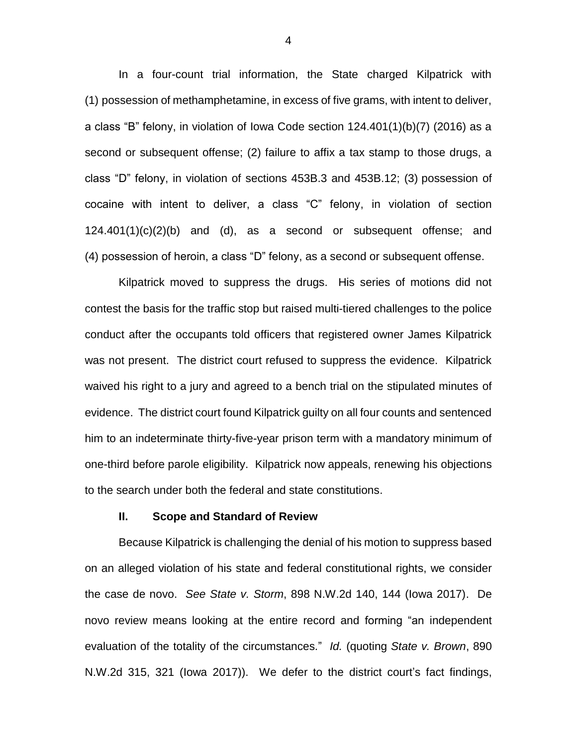In a four-count trial information, the State charged Kilpatrick with (1) possession of methamphetamine, in excess of five grams, with intent to deliver, a class "B" felony, in violation of Iowa Code section 124.401(1)(b)(7) (2016) as a second or subsequent offense; (2) failure to affix a tax stamp to those drugs, a class "D" felony, in violation of sections 453B.3 and 453B.12; (3) possession of cocaine with intent to deliver, a class "C" felony, in violation of section 124.401(1)(c)(2)(b) and (d), as a second or subsequent offense; and (4) possession of heroin, a class "D" felony, as a second or subsequent offense.

Kilpatrick moved to suppress the drugs. His series of motions did not contest the basis for the traffic stop but raised multi-tiered challenges to the police conduct after the occupants told officers that registered owner James Kilpatrick was not present. The district court refused to suppress the evidence. Kilpatrick waived his right to a jury and agreed to a bench trial on the stipulated minutes of evidence. The district court found Kilpatrick guilty on all four counts and sentenced him to an indeterminate thirty-five-year prison term with a mandatory minimum of one-third before parole eligibility. Kilpatrick now appeals, renewing his objections to the search under both the federal and state constitutions.

#### **II. Scope and Standard of Review**

Because Kilpatrick is challenging the denial of his motion to suppress based on an alleged violation of his state and federal constitutional rights, we consider the case de novo. *See State v. Storm*, 898 N.W.2d 140, 144 (Iowa 2017). De novo review means looking at the entire record and forming "an independent evaluation of the totality of the circumstances." *Id.* (quoting *State v. Brown*, 890 N.W.2d 315, 321 (Iowa 2017)). We defer to the district court's fact findings,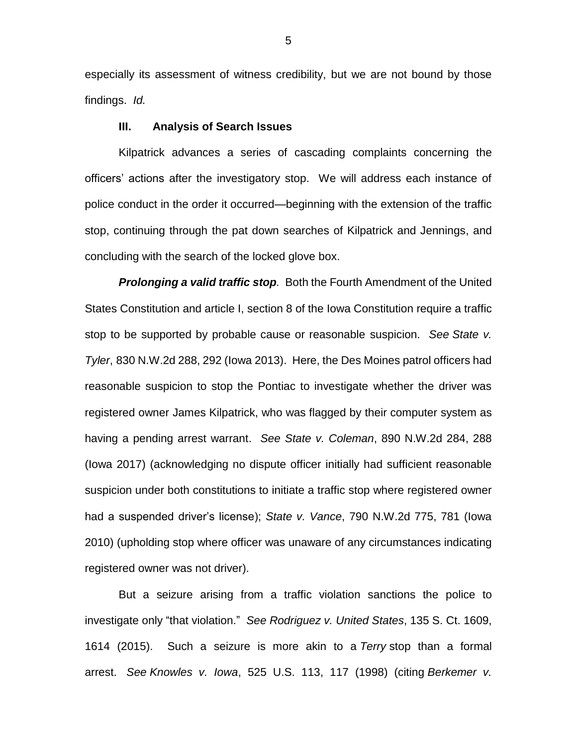especially its assessment of witness credibility, but we are not bound by those findings. *Id.*

## **III. Analysis of Search Issues**

Kilpatrick advances a series of cascading complaints concerning the officers' actions after the investigatory stop. We will address each instance of police conduct in the order it occurred—beginning with the extension of the traffic stop, continuing through the pat down searches of Kilpatrick and Jennings, and concluding with the search of the locked glove box.

*Prolonging a valid traffic stop.* Both the Fourth Amendment of the United States Constitution and article I, section 8 of the Iowa Constitution require a traffic stop to be supported by probable cause or reasonable suspicion. *See State v. Tyler*, 830 N.W.2d 288, 292 (Iowa 2013). Here, the Des Moines patrol officers had reasonable suspicion to stop the Pontiac to investigate whether the driver was registered owner James Kilpatrick, who was flagged by their computer system as having a pending arrest warrant. *See State v. Coleman*, 890 N.W.2d 284, 288 (Iowa 2017) (acknowledging no dispute officer initially had sufficient reasonable suspicion under both constitutions to initiate a traffic stop where registered owner had a suspended driver's license); *State v. Vance*, 790 N.W.2d 775, 781 (Iowa 2010) (upholding stop where officer was unaware of any circumstances indicating registered owner was not driver).

But a seizure arising from a traffic violation sanctions the police to investigate only "that violation." *See Rodriguez v. United States*, 135 S. Ct. 1609, 1614 (2015). Such a seizure is more akin to a *Terry* stop than a formal arrest. *See Knowles v. Iowa*, 525 U.S. 113, 117 (1998) (citing *Berkemer v.*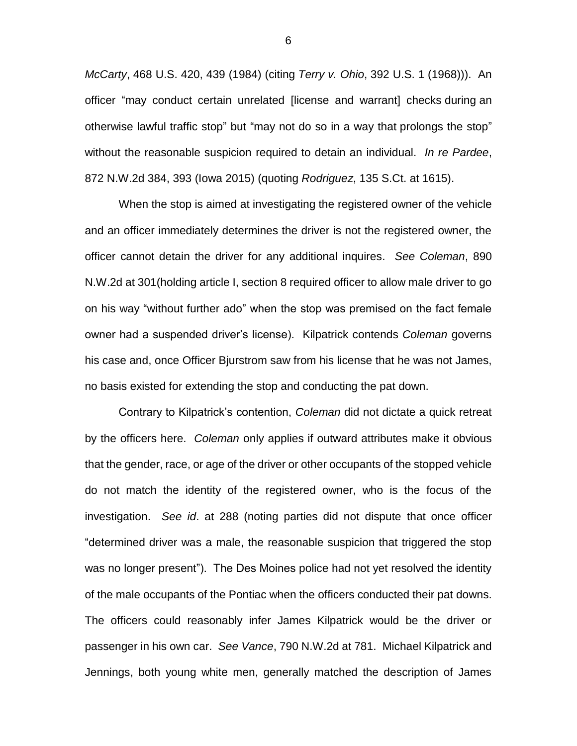*McCarty*, 468 U.S. 420, 439 (1984) (citing *Terry v. Ohio*, 392 U.S. 1 (1968))). An officer "may conduct certain unrelated [license and warrant] checks during an otherwise lawful traffic stop" but "may not do so in a way that prolongs the stop" without the reasonable suspicion required to detain an individual. *In re Pardee*, 872 N.W.2d 384, 393 (Iowa 2015) (quoting *Rodriguez*, 135 S.Ct. at 1615).

When the stop is aimed at investigating the registered owner of the vehicle and an officer immediately determines the driver is not the registered owner, the officer cannot detain the driver for any additional inquires. *See Coleman*, 890 N.W.2d at 301(holding article I, section 8 required officer to allow male driver to go on his way "without further ado" when the stop was premised on the fact female owner had a suspended driver's license). Kilpatrick contends *Coleman* governs his case and, once Officer Bjurstrom saw from his license that he was not James, no basis existed for extending the stop and conducting the pat down.

Contrary to Kilpatrick's contention, *Coleman* did not dictate a quick retreat by the officers here. *Coleman* only applies if outward attributes make it obvious that the gender, race, or age of the driver or other occupants of the stopped vehicle do not match the identity of the registered owner, who is the focus of the investigation. *See id*. at 288 (noting parties did not dispute that once officer "determined driver was a male, the reasonable suspicion that triggered the stop was no longer present"). The Des Moines police had not yet resolved the identity of the male occupants of the Pontiac when the officers conducted their pat downs. The officers could reasonably infer James Kilpatrick would be the driver or passenger in his own car. *See Vance*, 790 N.W.2d at 781. Michael Kilpatrick and Jennings, both young white men, generally matched the description of James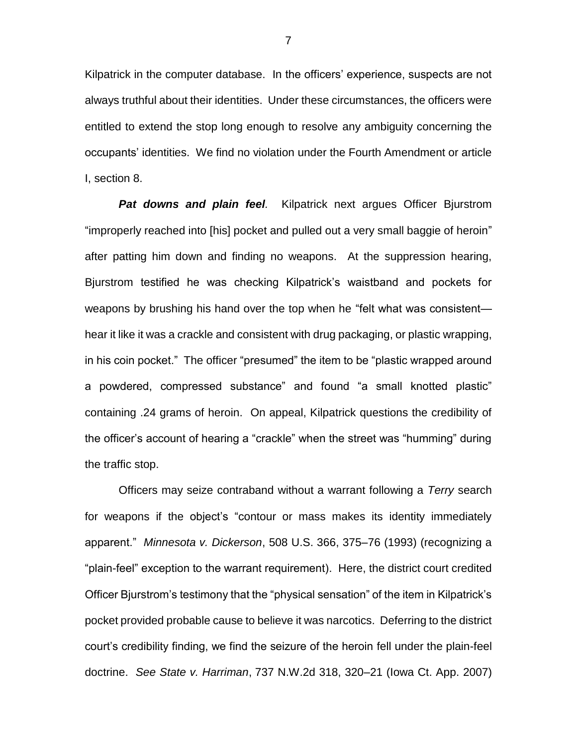Kilpatrick in the computer database. In the officers' experience, suspects are not always truthful about their identities. Under these circumstances, the officers were entitled to extend the stop long enough to resolve any ambiguity concerning the occupants' identities. We find no violation under the Fourth Amendment or article I, section 8.

*Pat downs and plain feel.* Kilpatrick next argues Officer Bjurstrom "improperly reached into [his] pocket and pulled out a very small baggie of heroin" after patting him down and finding no weapons. At the suppression hearing, Bjurstrom testified he was checking Kilpatrick's waistband and pockets for weapons by brushing his hand over the top when he "felt what was consistent hear it like it was a crackle and consistent with drug packaging, or plastic wrapping, in his coin pocket." The officer "presumed" the item to be "plastic wrapped around a powdered, compressed substance" and found "a small knotted plastic" containing .24 grams of heroin. On appeal, Kilpatrick questions the credibility of the officer's account of hearing a "crackle" when the street was "humming" during the traffic stop.

Officers may seize contraband without a warrant following a *Terry* search for weapons if the object's "contour or mass makes its identity immediately apparent." *Minnesota v. Dickerson*, 508 U.S. 366, 375–76 (1993) (recognizing a "plain-feel" exception to the warrant requirement). Here, the district court credited Officer Bjurstrom's testimony that the "physical sensation" of the item in Kilpatrick's pocket provided probable cause to believe it was narcotics. Deferring to the district court's credibility finding, we find the seizure of the heroin fell under the plain-feel doctrine. *See State v. Harriman*, 737 N.W.2d 318, 320–21 (Iowa Ct. App. 2007)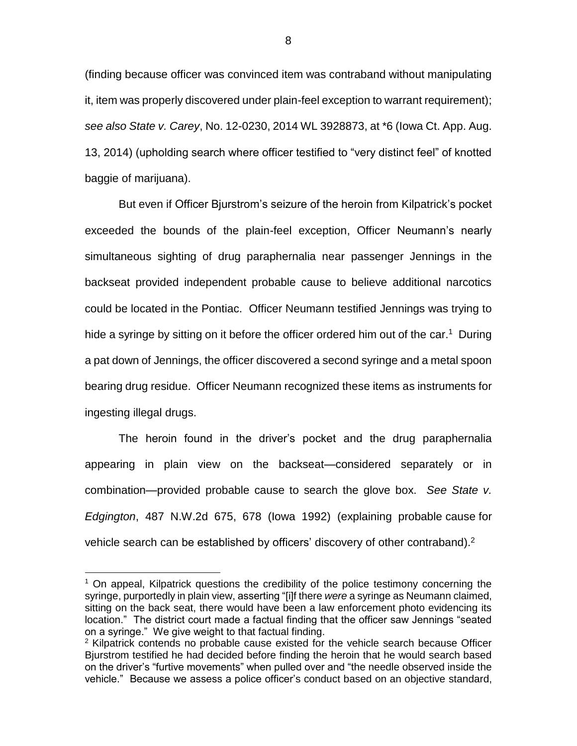(finding because officer was convinced item was contraband without manipulating it, item was properly discovered under plain-feel exception to warrant requirement); *see also State v. Carey*, No. 12-0230, 2014 WL 3928873, at \*6 (Iowa Ct. App. Aug. 13, 2014) (upholding search where officer testified to "very distinct feel" of knotted baggie of marijuana).

But even if Officer Bjurstrom's seizure of the heroin from Kilpatrick's pocket exceeded the bounds of the plain-feel exception, Officer Neumann's nearly simultaneous sighting of drug paraphernalia near passenger Jennings in the backseat provided independent probable cause to believe additional narcotics could be located in the Pontiac. Officer Neumann testified Jennings was trying to hide a syringe by sitting on it before the officer ordered him out of the car.<sup>1</sup> During a pat down of Jennings, the officer discovered a second syringe and a metal spoon bearing drug residue. Officer Neumann recognized these items as instruments for ingesting illegal drugs.

The heroin found in the driver's pocket and the drug paraphernalia appearing in plain view on the backseat—considered separately or in combination—provided probable cause to search the glove box. *See State v. Edgington*, 487 N.W.2d 675, 678 (Iowa 1992) (explaining probable cause for vehicle search can be established by officers' discovery of other contraband). $2$ 

 $\overline{a}$ 

 $1$  On appeal, Kilpatrick questions the credibility of the police testimony concerning the syringe, purportedly in plain view, asserting "[i]f there *were* a syringe as Neumann claimed, sitting on the back seat, there would have been a law enforcement photo evidencing its location." The district court made a factual finding that the officer saw Jennings "seated on a syringe." We give weight to that factual finding.

 $2$  Kilpatrick contends no probable cause existed for the vehicle search because Officer Bjurstrom testified he had decided before finding the heroin that he would search based on the driver's "furtive movements" when pulled over and "the needle observed inside the vehicle." Because we assess a police officer's conduct based on an objective standard,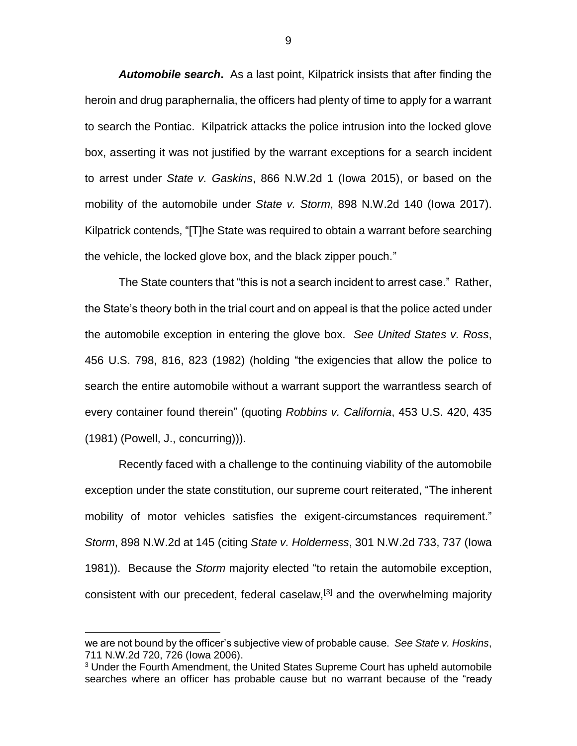*Automobile search***.** As a last point, Kilpatrick insists that after finding the heroin and drug paraphernalia, the officers had plenty of time to apply for a warrant to search the Pontiac. Kilpatrick attacks the police intrusion into the locked glove box, asserting it was not justified by the warrant exceptions for a search incident to arrest under *State v. Gaskins*, 866 N.W.2d 1 (Iowa 2015), or based on the mobility of the automobile under *State v. Storm*, 898 N.W.2d 140 (Iowa 2017). Kilpatrick contends, "[T]he State was required to obtain a warrant before searching the vehicle, the locked glove box, and the black zipper pouch."

The State counters that "this is not a search incident to arrest case." Rather, the State's theory both in the trial court and on appeal is that the police acted under the automobile exception in entering the glove box. *See United States v. Ross*, 456 U.S. 798, 816, 823 (1982) (holding "the exigencies that allow the police to search the entire automobile without a warrant support the warrantless search of every container found therein" (quoting *Robbins v. California*, 453 U.S. 420, 435 (1981) (Powell, J., concurring))).

Recently faced with a challenge to the continuing viability of the automobile exception under the state constitution, our supreme court reiterated, "The inherent mobility of motor vehicles satisfies the exigent-circumstances requirement." *Storm*, 898 N.W.2d at 145 (citing *State v. Holderness*, 301 N.W.2d 733, 737 (Iowa 1981)). Because the *Storm* majority elected "to retain the automobile exception, consistent with our precedent, federal caselaw,[3] and the overwhelming majority

 $\overline{a}$ 

we are not bound by the officer's subjective view of probable cause. *See State v. Hoskins*, 711 N.W.2d 720, 726 (Iowa 2006).

<sup>&</sup>lt;sup>3</sup> Under the Fourth Amendment, the United States Supreme Court has upheld automobile searches where an officer has probable cause but no warrant because of the "ready